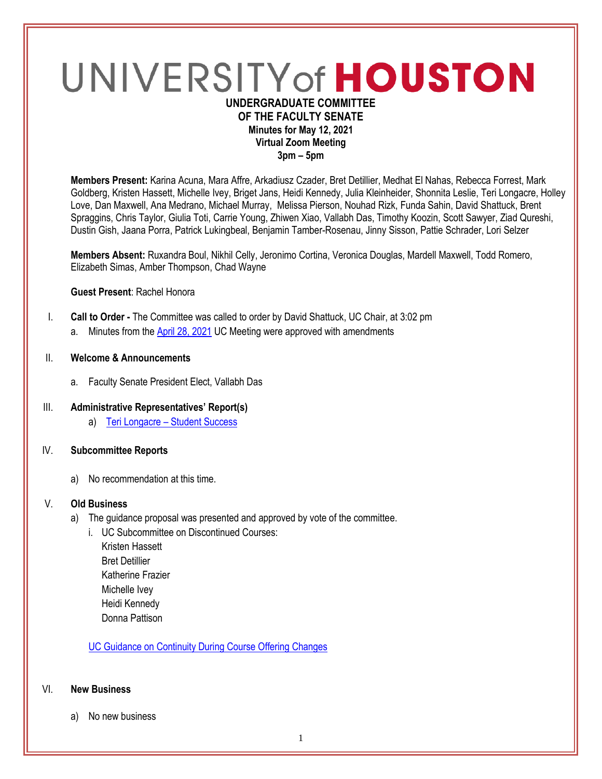# UNIVERSITY of HOUSTON **UNDERGRADUATE COMMITTEE**

# **OF THE FACULTY SENATE Minutes for May 12, 2021 Virtual Zoom Meeting**

**3pm – 5pm**

**Members Present:** Karina Acuna, Mara Affre, Arkadiusz Czader, Bret Detillier, Medhat El Nahas, Rebecca Forrest, Mark Goldberg, Kristen Hassett, Michelle Ivey, Briget Jans, Heidi Kennedy, Julia Kleinheider, Shonnita Leslie, Teri Longacre, Holley Love, Dan Maxwell, Ana Medrano, Michael Murray, Melissa Pierson, Nouhad Rizk, Funda Sahin, David Shattuck, Brent Spraggins, Chris Taylor, Giulia Toti, Carrie Young, Zhiwen Xiao, Vallabh Das, Timothy Koozin, Scott Sawyer, Ziad Qureshi, Dustin Gish, Jaana Porra, Patrick Lukingbeal, Benjamin Tamber-Rosenau, Jinny Sisson, Pattie Schrader, Lori Selzer

**Members Absent:** Ruxandra Boul, Nikhil Celly, Jeronimo Cortina, Veronica Douglas, Mardell Maxwell, Todd Romero, Elizabeth Simas, Amber Thompson, Chad Wayne

**Guest Present**: Rachel Honora

- I. **Call to Order -** The Committee was called to order by David Shattuck, UC Chair, at 3:02 pm
	- a. Minutes from the April [28, 2021](https://uh.edu/undergraduate-committee/meetings/agendas-minutes/ay-2021/m_2021_04284.pdf) UC Meeting were approved with amendments

# II. **Welcome & Announcements**

a. Faculty Senate President Elect, Vallabh Das

# III. **Administrative Representatives' Report(s)**

a) Teri Longacre – [Student Success](https://uofh.sharepoint.com/:p:/s/uc/admin/EdW9_FDlV5dGnFN4HHGeARkBIPIuivDO7BaFeKgtIbw3RQ?e=34XaJv)

# IV. **Subcommittee Reports**

a) No recommendation at this time.

# V. **Old Business**

- a) The guidance proposal was presented and approved by vote of the committee.
	- i. UC Subcommittee on Discontinued Courses:
		- Kristen Hassett Bret Detillier Katherine Frazier Michelle Ivey Heidi Kennedy Donna Pattison

[UC Guidance on Continuity During Course Offering Changes](https://uofh.sharepoint.com/:b:/s/uc/admin/EbcYFRbvzcdCn36Tv9Q6esoBnGeAOCGCsg1sp4ict_CGaQ?e=NU2BmW)

#### VI. **New Business**

a) No new business